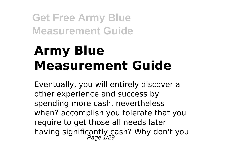# **Army Blue Measurement Guide**

Eventually, you will entirely discover a other experience and success by spending more cash. nevertheless when? accomplish you tolerate that you require to get those all needs later having significantly cash? Why don't you<br>Page 1/29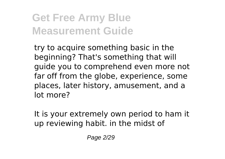try to acquire something basic in the beginning? That's something that will guide you to comprehend even more not far off from the globe, experience, some places, later history, amusement, and a lot more?

It is your extremely own period to ham it up reviewing habit. in the midst of

Page 2/29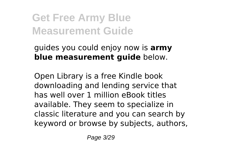guides you could enjoy now is **army blue measurement guide** below.

Open Library is a free Kindle book downloading and lending service that has well over 1 million eBook titles available. They seem to specialize in classic literature and you can search by keyword or browse by subjects, authors,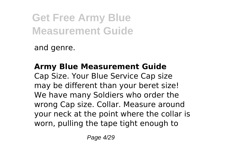and genre.

**Army Blue Measurement Guide** Cap Size. Your Blue Service Cap size may be different than your beret size! We have many Soldiers who order the wrong Cap size. Collar. Measure around your neck at the point where the collar is worn, pulling the tape tight enough to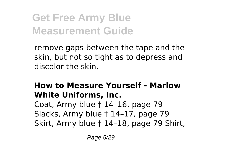remove gaps between the tape and the skin, but not so tight as to depress and discolor the skin.

### **How to Measure Yourself - Marlow White Uniforms, Inc.**

Coat, Army blue † 14–16, page 79 Slacks, Army blue † 14–17, page 79 Skirt, Army blue † 14–18, page 79 Shirt,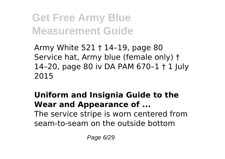Army White 521 † 14–19, page 80 Service hat, Army blue (female only) † 14–20, page 80 iv DA PAM 670–1 † 1 July 2015

### **Uniform and Insignia Guide to the Wear and Appearance of ...** The service stripe is worn centered from seam-to-seam on the outside bottom

Page 6/29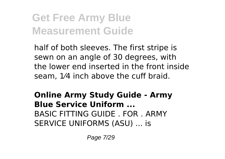half of both sleeves. The first stripe is sewn on an angle of 30 degrees, with the lower end inserted in the front inside seam, 1⁄4 inch above the cuff braid.

**Online Army Study Guide - Army Blue Service Uniform ...** BASIC FITTING GUIDE . FOR . ARMY SERVICE UNIFORMS (ASU) ... is

Page 7/29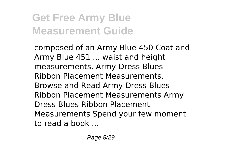composed of an Army Blue 450 Coat and Army Blue 451 ... waist and height measurements. Army Dress Blues Ribbon Placement Measurements. Browse and Read Army Dress Blues Ribbon Placement Measurements Army Dress Blues Ribbon Placement Measurements Spend your few moment to read a book ...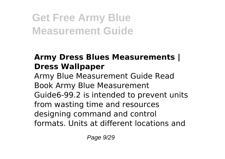### **Army Dress Blues Measurements | Dress Wallpaper**

Army Blue Measurement Guide Read Book Army Blue Measurement Guide6-99.2 is intended to prevent units from wasting time and resources designing command and control formats. Units at different locations and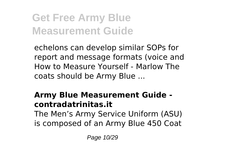echelons can develop similar SOPs for report and message formats (voice and How to Measure Yourself - Marlow The coats should be Army Blue ...

### **Army Blue Measurement Guide contradatrinitas.it**

The Men's Army Service Uniform (ASU) is composed of an Army Blue 450 Coat

Page 10/29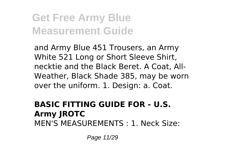and Army Blue 451 Trousers, an Army White 521 Long or Short Sleeve Shirt, necktie and the Black Beret. A Coat, All-Weather, Black Shade 385, may be worn over the uniform. 1. Design: a. Coat.

#### **BASIC FITTING GUIDE FOR - U.S. Army JROTC** MEN'S MEASUREMENTS : 1. Neck Size:

Page 11/29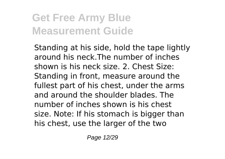Standing at his side, hold the tape lightly around his neck.The number of inches shown is his neck size. 2. Chest Size: Standing in front, measure around the fullest part of his chest, under the arms and around the shoulder blades. The number of inches shown is his chest size. Note: If his stomach is bigger than his chest, use the larger of the two

Page 12/29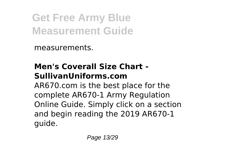measurements.

### **Men's Coverall Size Chart - SullivanUniforms.com**

AR670.com is the best place for the complete AR670-1 Army Regulation Online Guide. Simply click on a section and begin reading the 2019 AR670-1 guide.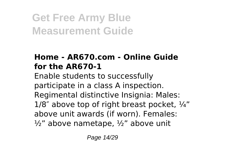### **Home - AR670.com - Online Guide for the AR670-1**

Enable students to successfully participate in a class A inspection. Regimental distinctive Insignia: Males:  $1/8$ <sup>"</sup> above top of right breast pocket,  $\frac{1}{4}$ " above unit awards (if worn). Females:  $\frac{1}{2}$ " above nametape,  $\frac{1}{2}$ " above unit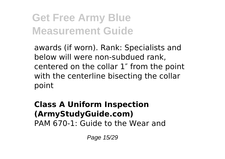awards (if worn). Rank: Specialists and below will were non-subdued rank, centered on the collar 1″ from the point with the centerline bisecting the collar point

#### **Class A Uniform Inspection (ArmyStudyGuide.com)** PAM 670-1: Guide to the Wear and

Page 15/29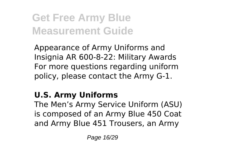Appearance of Army Uniforms and Insignia AR 600-8-22: Military Awards For more questions regarding uniform policy, please contact the Army G-1.

### **U.S. Army Uniforms**

The Men's Army Service Uniform (ASU) is composed of an Army Blue 450 Coat and Army Blue 451 Trousers, an Army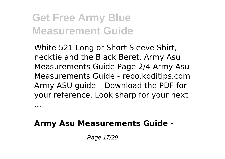...

White 521 Long or Short Sleeve Shirt, necktie and the Black Beret. Army Asu Measurements Guide Page 2/4 Army Asu Measurements Guide - repo.koditips.com Army ASU guide – Download the PDF for your reference. Look sharp for your next

**Army Asu Measurements Guide -**

Page 17/29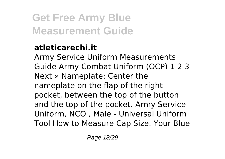### **atleticarechi.it**

Army Service Uniform Measurements Guide Army Combat Uniform (OCP) 1 2 3 Next » Nameplate: Center the nameplate on the flap of the right pocket, between the top of the button and the top of the pocket. Army Service Uniform, NCO , Male - Universal Uniform Tool How to Measure Cap Size. Your Blue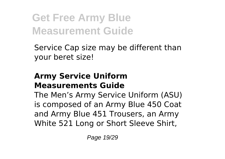Service Cap size may be different than your beret size!

### **Army Service Uniform Measurements Guide**

The Men's Army Service Uniform (ASU) is composed of an Army Blue 450 Coat and Army Blue 451 Trousers, an Army White 521 Long or Short Sleeve Shirt,

Page 19/29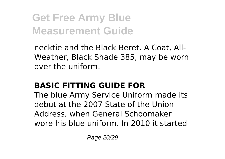necktie and the Black Beret. A Coat, All-Weather, Black Shade 385, may be worn over the uniform.

### **BASIC FITTING GUIDE FOR**

The blue Army Service Uniform made its debut at the 2007 State of the Union Address, when General Schoomaker wore his blue uniform. In 2010 it started

Page 20/29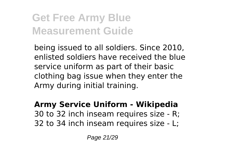being issued to all soldiers. Since 2010, enlisted soldiers have received the blue service uniform as part of their basic clothing bag issue when they enter the Army during initial training.

#### **Army Service Uniform - Wikipedia** 30 to 32 inch inseam requires size - R; 32 to 34 inch inseam requires size - L;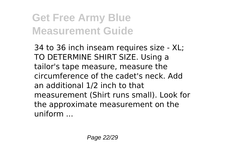34 to 36 inch inseam requires size - XL; TO DETERMINE SHIRT SIZE. Using a tailor's tape measure, measure the circumference of the cadet's neck. Add an additional 1/2 inch to that measurement (Shirt runs small). Look for the approximate measurement on the  $uniform$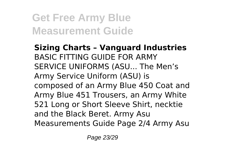**Sizing Charts – Vanguard Industries** BASIC FITTING GUIDE FOR ARMY SERVICE UNIFORMS (ASU... The Men's Army Service Uniform (ASU) is composed of an Army Blue 450 Coat and Army Blue 451 Trousers, an Army White 521 Long or Short Sleeve Shirt, necktie and the Black Beret. Army Asu Measurements Guide Page 2/4 Army Asu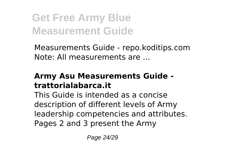Measurements Guide - repo.koditips.com Note: All measurements are ...

#### **Army Asu Measurements Guide trattorialabarca.it**

This Guide is intended as a concise description of different levels of Army leadership competencies and attributes. Pages 2 and 3 present the Army

Page 24/29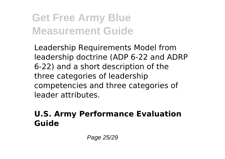Leadership Requirements Model from leadership doctrine (ADP 6-22 and ADRP 6-22) and a short description of the three categories of leadership competencies and three categories of leader attributes.

### **U.S. Army Performance Evaluation Guide**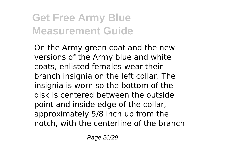On the Army green coat and the new versions of the Army blue and white coats, enlisted females wear their branch insignia on the left collar. The insignia is worn so the bottom of the disk is centered between the outside point and inside edge of the collar, approximately 5/8 inch up from the notch, with the centerline of the branch

Page 26/29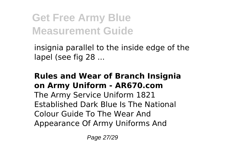insignia parallel to the inside edge of the lapel (see fig 28 ...

#### **Rules and Wear of Branch Insignia on Army Uniform - AR670.com**

The Army Service Uniform 1821 Established Dark Blue Is The National Colour Guide To The Wear And Appearance Of Army Uniforms And

Page 27/29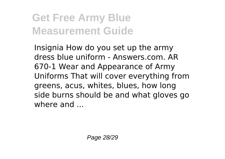Insignia How do you set up the army dress blue uniform - Answers.com. AR 670-1 Wear and Appearance of Army Uniforms That will cover everything from greens, acus, whites, blues, how long side burns should be and what gloves go where and ...